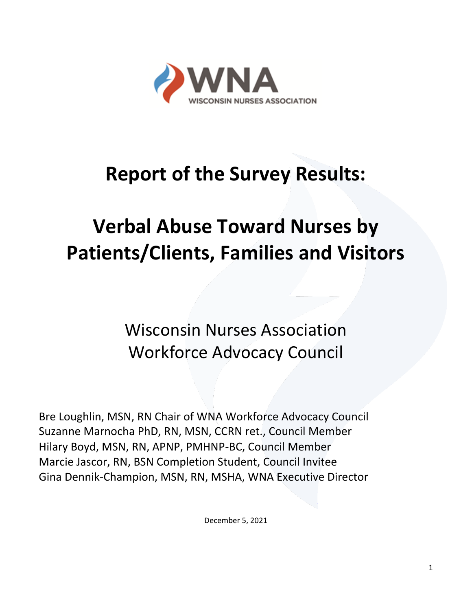

# **Report of the Survey Results:**

# **Verbal Abuse Toward Nurses by Patients/Clients, Families and Visitors**

Wisconsin Nurses Association Workforce Advocacy Council

Bre Loughlin, MSN, RN Chair of WNA Workforce Advocacy Council Suzanne Marnocha PhD, RN, MSN, CCRN ret., Council Member Hilary Boyd, MSN, RN, APNP, PMHNP-BC, Council Member Marcie Jascor, RN, BSN Completion Student, Council Invitee Gina Dennik-Champion, MSN, RN, MSHA, WNA Executive Director

December 5, 2021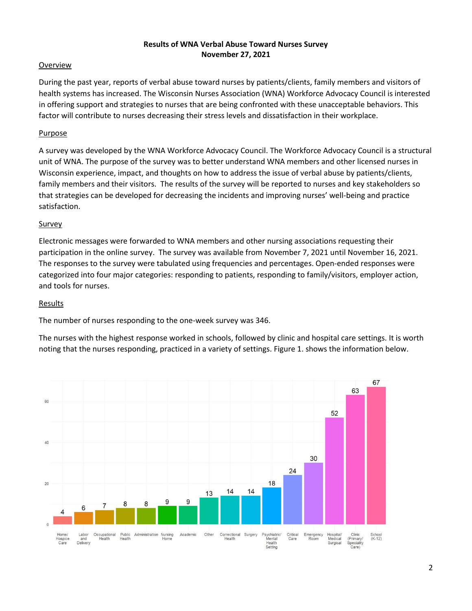#### **Results of WNA Verbal Abuse Toward Nurses Survey November 27, 2021**

#### Overview

During the past year, reports of verbal abuse toward nurses by patients/clients, family members and visitors of health systems has increased. The Wisconsin Nurses Association (WNA) Workforce Advocacy Council is interested in offering support and strategies to nurses that are being confronted with these unacceptable behaviors. This factor will contribute to nurses decreasing their stress levels and dissatisfaction in their workplace.

## Purpose

A survey was developed by the WNA Workforce Advocacy Council. The Workforce Advocacy Council is a structural unit of WNA. The purpose of the survey was to better understand WNA members and other licensed nurses in Wisconsin experience, impact, and thoughts on how to address the issue of verbal abuse by patients/clients, family members and their visitors. The results of the survey will be reported to nurses and key stakeholders so that strategies can be developed for decreasing the incidents and improving nurses' well-being and practice satisfaction.

#### Survey

Electronic messages were forwarded to WNA members and other nursing associations requesting their participation in the online survey. The survey was available from November 7, 2021 until November 16, 2021. The responses to the survey were tabulated using frequencies and percentages. Open-ended responses were categorized into four major categories: responding to patients, responding to family/visitors, employer action, and tools for nurses.

#### Results

The number of nurses responding to the one-week survey was 346.

The nurses with the highest response worked in schools, followed by clinic and hospital care settings. It is worth noting that the nurses responding, practiced in a variety of settings. Figure 1. shows the information below.

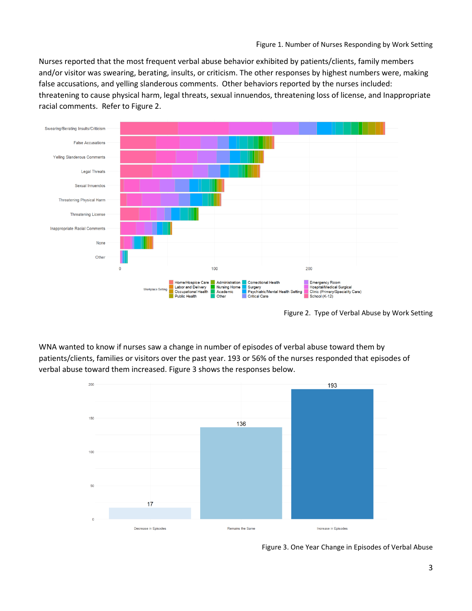Nurses reported that the most frequent verbal abuse behavior exhibited by patients/clients, family members and/or visitor was swearing, berating, insults, or criticism. The other responses by highest numbers were, making false accusations, and yelling slanderous comments. Other behaviors reported by the nurses included: threatening to cause physical harm, legal threats, sexual innuendos, threatening loss of license, and Inappropriate racial comments. Refer to Figure 2.



Figure 2. Type of Verbal Abuse by Work Setting

WNA wanted to know if nurses saw a change in number of episodes of verbal abuse toward them by patients/clients, families or visitors over the past year. 193 or 56% of the nurses responded that episodes of verbal abuse toward them increased. Figure 3 shows the responses below.



Figure 3. One Year Change in Episodes of Verbal Abuse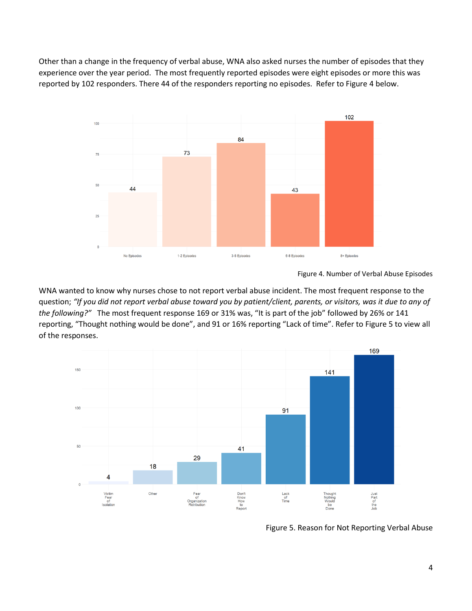Other than a change in the frequency of verbal abuse, WNA also asked nurses the number of episodes that they experience over the year period. The most frequently reported episodes were eight episodes or more this was reported by 102 responders. There 44 of the responders reporting no episodes. Refer to Figure 4 below.



Figure 4. Number of Verbal Abuse Episodes

WNA wanted to know why nurses chose to not report verbal abuse incident. The most frequent response to the question; *"If you did not report verbal abuse toward you by patient/client, parents, or visitors, was it due to any of the following?"* The most frequent response 169 or 31% was, "It is part of the job" followed by 26% or 141 reporting, "Thought nothing would be done", and 91 or 16% reporting "Lack of time". Refer to Figure 5 to view all of the responses.



Figure 5. Reason for Not Reporting Verbal Abuse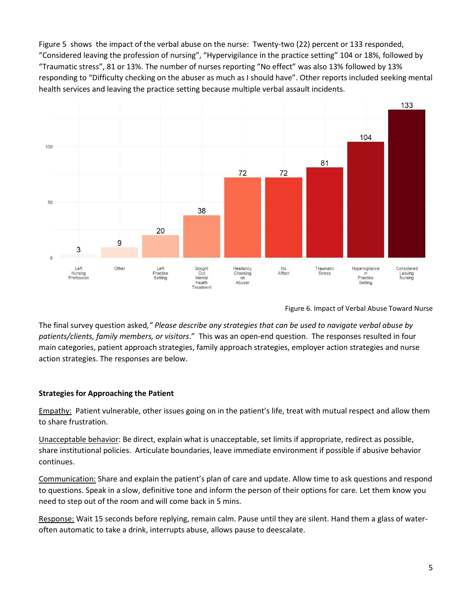Figure 5 shows the impact of the verbal abuse on the nurse: Twenty-two (22) percent or 133 responded, "Considered leaving the profession of nursing", "Hypervigilance in the practice setting" 104 or 18%, followed by "Traumatic stress", 81 or 13%. The number of nurses reporting "No effect" was also 13% followed by 13% responding to "Difficulty checking on the abuser as much as I should have". Other reports included seeking mental health services and leaving the practice setting because multiple verbal assault incidents.



Figure 6. Impact of Verbal Abuse Toward Nurse

The final survey question asked*," Please describe any strategies that can be used to navigate verbal abuse by patients/clients, family members, or visitors*." This was an open-end question. The responses resulted in four main categories, patient approach strategies, family approach strategies, employer action strategies and nurse action strategies. The responses are below.

# **Strategies for Approaching the Patient**

Empathy: Patient vulnerable, other issues going on in the patient's life, treat with mutual respect and allow them to share frustration.

Unacceptable behavior: Be direct, explain what is unacceptable, set limits if appropriate, redirect as possible, share institutional policies. Articulate boundaries, leave immediate environment if possible if abusive behavior continues.

Communication: Share and explain the patient's plan of care and update. Allow time to ask questions and respond to questions. Speak in a slow, definitive tone and inform the person of their options for care. Let them know you need to step out of the room and will come back in 5 mins.

Response: Wait 15 seconds before replying, remain calm. Pause until they are silent. Hand them a glass of wateroften automatic to take a drink, interrupts abuse, allows pause to deescalate.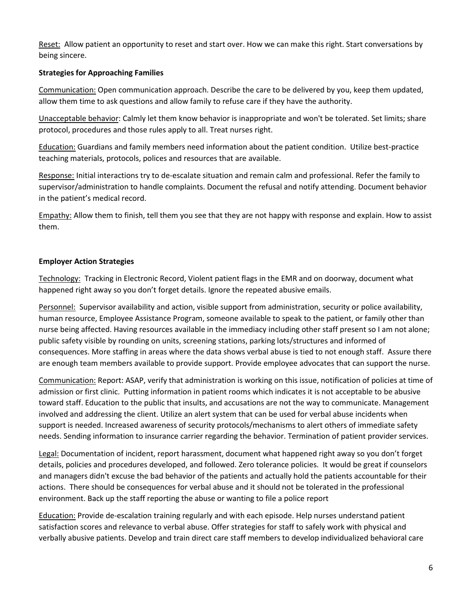Reset: Allow patient an opportunity to reset and start over. How we can make this right. Start conversations by being sincere.

## **Strategies for Approaching Families**

Communication: Open communication approach. Describe the care to be delivered by you, keep them updated, allow them time to ask questions and allow family to refuse care if they have the authority.

Unacceptable behavior: Calmly let them know behavior is inappropriate and won't be tolerated. Set limits; share protocol, procedures and those rules apply to all. Treat nurses right.

Education: Guardians and family members need information about the patient condition. Utilize best-practice teaching materials, protocols, polices and resources that are available.

Response: Initial interactions try to de-escalate situation and remain calm and professional. Refer the family to supervisor/administration to handle complaints. Document the refusal and notify attending. Document behavior in the patient's medical record.

Empathy: Allow them to finish, tell them you see that they are not happy with response and explain. How to assist them.

# **Employer Action Strategies**

Technology: Tracking in Electronic Record, Violent patient flags in the EMR and on doorway, document what happened right away so you don't forget details. Ignore the repeated abusive emails.

Personnel: Supervisor availability and action, visible support from administration, security or police availability, human resource, Employee Assistance Program, someone available to speak to the patient, or family other than nurse being affected. Having resources available in the immediacy including other staff present so I am not alone; public safety visible by rounding on units, screening stations, parking lots/structures and informed of consequences. More staffing in areas where the data shows verbal abuse is tied to not enough staff. Assure there are enough team members available to provide support. Provide employee advocates that can support the nurse.

Communication: Report: ASAP, verify that administration is working on this issue, notification of policies at time of admission or first clinic. Putting information in patient rooms which indicates it is not acceptable to be abusive toward staff. Education to the public that insults, and accusations are not the way to communicate. Management involved and addressing the client. Utilize an alert system that can be used for verbal abuse incidents when support is needed. Increased awareness of security protocols/mechanisms to alert others of immediate safety needs. Sending information to insurance carrier regarding the behavior. Termination of patient provider services.

Legal: Documentation of incident, report harassment, document what happened right away so you don't forget details, policies and procedures developed, and followed. Zero tolerance policies. It would be great if counselors and managers didn't excuse the bad behavior of the patients and actually hold the patients accountable for their actions. There should be consequences for verbal abuse and it should not be tolerated in the professional environment. Back up the staff reporting the abuse or wanting to file a police report

Education: Provide de-escalation training regularly and with each episode. Help nurses understand patient satisfaction scores and relevance to verbal abuse. Offer strategies for staff to safely work with physical and verbally abusive patients. Develop and train direct care staff members to develop individualized behavioral care